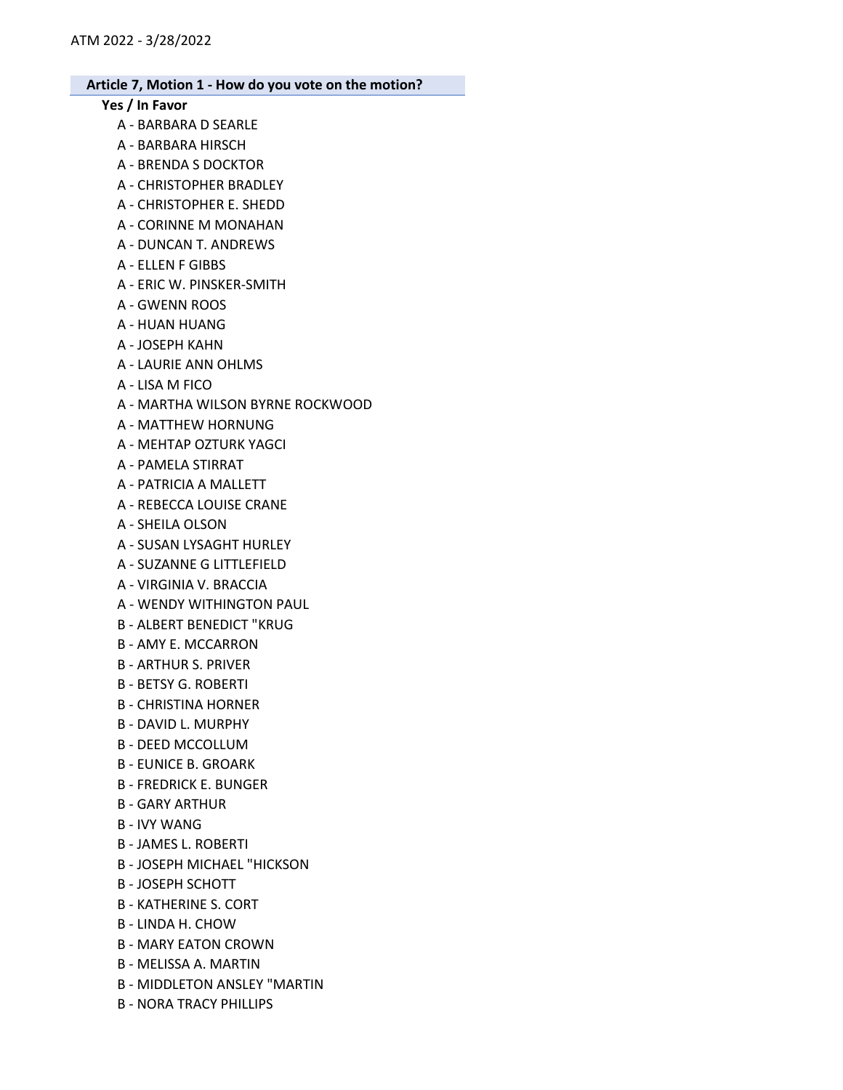# Yes / In Favor

- A BARBARA D SEARLE
- A BARBARA HIRSCH
- A BRENDA S DOCKTOR
- A CHRISTOPHER BRADLEY
- A CHRISTOPHER E. SHEDD
- A CORINNE M MONAHAN
- A DUNCAN T. ANDREWS
- A ELLEN F GIBBS
- A ERIC W. PINSKER-SMITH
- A GWENN ROOS
- A HUAN HUANG
- A JOSEPH KAHN
- A LAURIE ANN OHLMS
- A LISA M FICO
- A MARTHA WILSON BYRNE ROCKWOOD
- A MATTHEW HORNUNG
- A MEHTAP OZTURK YAGCI
- A PAMELA STIRRAT
- A PATRICIA A MALLETT
- A REBECCA LOUISE CRANE
- A SHEILA OLSON
- A SUSAN LYSAGHT HURLEY
- A SUZANNE G LITTLEFIELD
- A VIRGINIA V. BRACCIA
- A WENDY WITHINGTON PAUL
- B ALBERT BENEDICT "KRUG
- B AMY E. MCCARRON
- B ARTHUR S. PRIVER
- B BETSY G. ROBERTI
- B CHRISTINA HORNER
- B DAVID L. MURPHY
- B DEED MCCOLLUM
- B EUNICE B. GROARK
- B FREDRICK E. BUNGER
- B GARY ARTHUR
- B IVY WANG
- B JAMES L. ROBERTI
- B JOSEPH MICHAEL "HICKSON
- B JOSEPH SCHOTT
- B KATHERINE S. CORT
- B LINDA H. CHOW
- B MARY EATON CROWN
- B MELISSA A. MARTIN
- B MIDDLETON ANSLEY "MARTIN
- B NORA TRACY PHILLIPS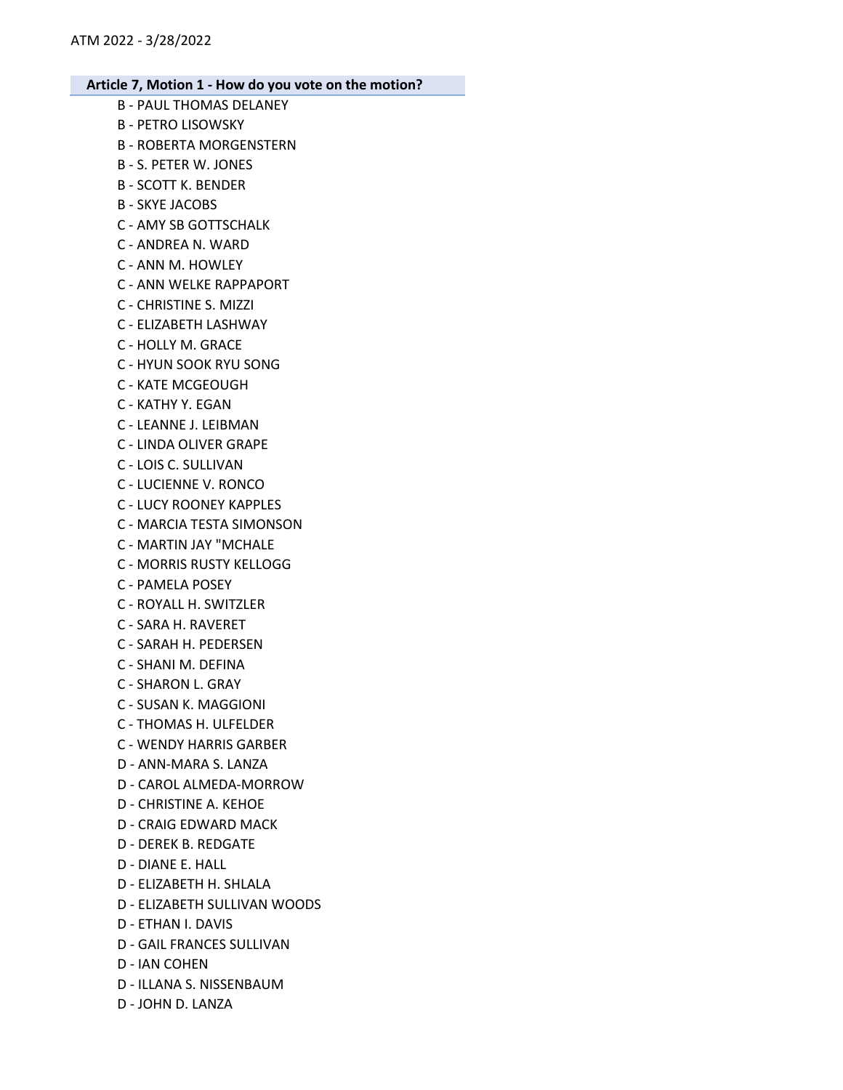- B PAUL THOMAS DELANEY B - PETRO LISOWSKY B - ROBERTA MORGENSTERN B - S. PETER W. JONES B - SCOTT K. BENDER B - SKYE JACOBS C - AMY SB GOTTSCHALK C - ANDREA N. WARD C - ANN M. HOWLEY C - ANN WELKE RAPPAPORT C - CHRISTINE S. MIZZI C - ELIZABETH LASHWAY C - HOLLY M. GRACE C - HYUN SOOK RYU SONG C - KATE MCGEOUGH C - KATHY Y. EGAN C - LEANNE J. LEIBMAN C - LINDA OLIVER GRAPE C - LOIS C. SULLIVAN C - LUCIENNE V. RONCO C - LUCY ROONEY KAPPLES C - MARCIA TESTA SIMONSON C - MARTIN JAY "MCHALE C - MORRIS RUSTY KELLOGG C - PAMELA POSEY C - ROYALL H. SWITZLER C - SARA H. RAVERET C - SARAH H. PEDERSEN C - SHANI M. DEFINA C - SHARON L. GRAY C - SUSAN K. MAGGIONI C - THOMAS H. ULFELDER C - WENDY HARRIS GARBER D - ANN-MARA S. LANZA D - CAROL ALMEDA-MORROW D - CHRISTINE A. KEHOE D - CRAIG EDWARD MACK D - DEREK B. REDGATE D - DIANE E. HALL D - ELIZABETH H. SHLALA D - ELIZABETH SULLIVAN WOODS D - ETHAN I. DAVIS D - GAIL FRANCES SULLIVAN
- D IAN COHEN
- D ILLANA S. NISSENBAUM
- D JOHN D. LANZA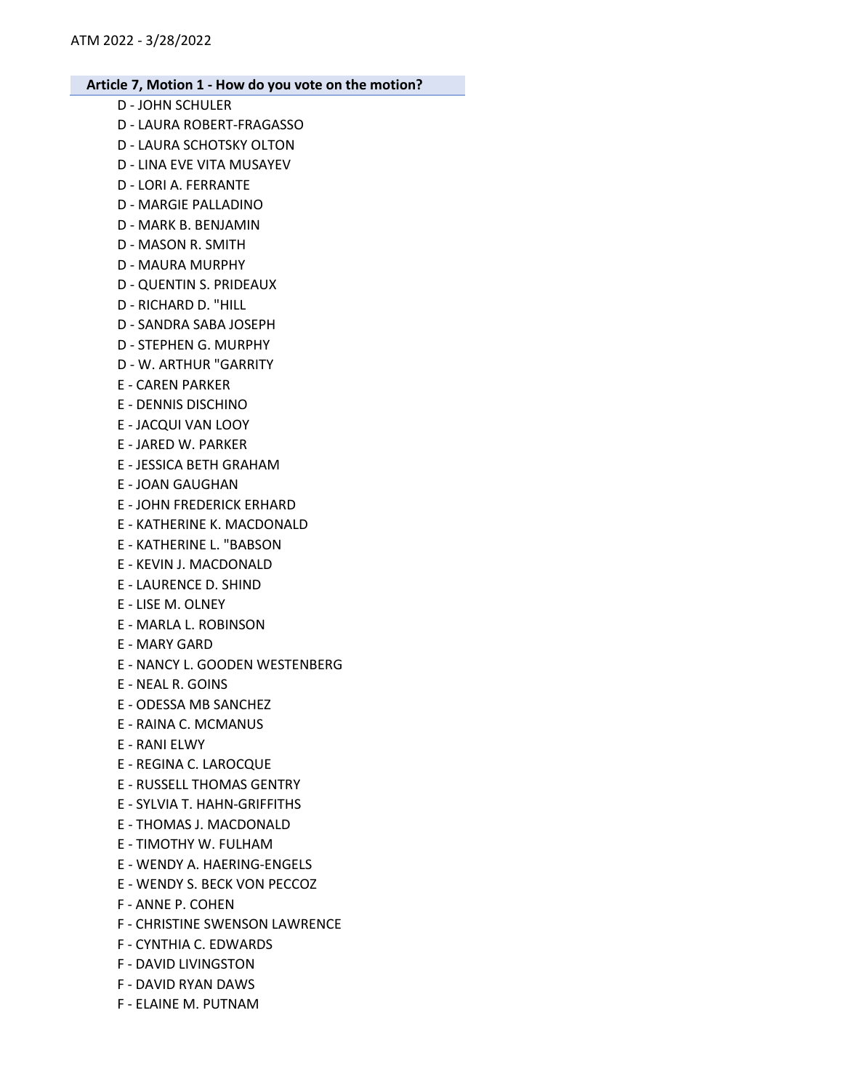- D JOHN SCHULER D - LAURA ROBERT-FRAGASSO D - LAURA SCHOTSKY OLTON D - LINA EVE VITA MUSAYEV D - LORI A. FERRANTE D - MARGIE PALLADINO D - MARK B. BENJAMIN D - MASON R. SMITH D - MAURA MURPHY D - QUENTIN S. PRIDEAUX D - RICHARD D. "HILL D - SANDRA SABA JOSEPH D - STEPHEN G. MURPHY D - W. ARTHUR "GARRITY E - CAREN PARKER E - DENNIS DISCHINO E - JACQUI VAN LOOY E - JARED W. PARKER E - JESSICA BETH GRAHAM E - JOAN GAUGHAN E - JOHN FREDERICK ERHARD E - KATHERINE K. MACDONALD E - KATHERINE L. "BABSON E - KEVIN J. MACDONALD E - LAURENCE D. SHIND E - LISE M. OLNEY E - MARLA L. ROBINSON E - MARY GARD E - NANCY L. GOODEN WESTENBERG E - NEAL R. GOINS E - ODESSA MB SANCHEZ E - RAINA C. MCMANUS E - RANI ELWY E - REGINA C. LAROCQUE E - RUSSELL THOMAS GENTRY E - SYLVIA T. HAHN-GRIFFITHS E - THOMAS J. MACDONALD E - TIMOTHY W. FULHAM E - WENDY A. HAERING-ENGELS E - WENDY S. BECK VON PECCOZ F - ANNE P. COHEN F - CHRISTINE SWENSON LAWRENCE F - CYNTHIA C. EDWARDS F - DAVID LIVINGSTON F - DAVID RYAN DAWS
	- F ELAINE M. PUTNAM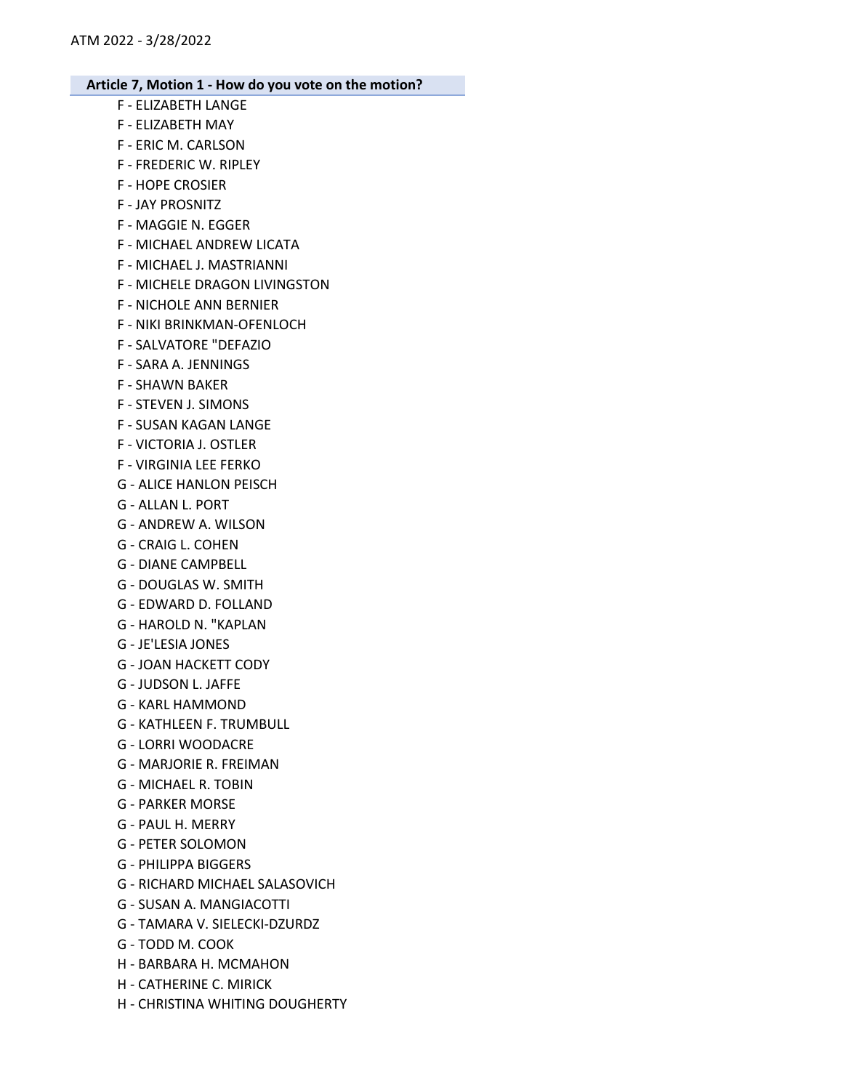- F ELIZABETH LANGE
- F ELIZABETH MAY
- F ERIC M. CARLSON
- F FREDERIC W. RIPLEY
- F HOPE CROSIER
- F JAY PROSNITZ
- F MAGGIE N. EGGER
- F MICHAEL ANDREW LICATA
- F MICHAEL J. MASTRIANNI
- F MICHELE DRAGON LIVINGSTON
- F NICHOLE ANN BERNIER
- F NIKI BRINKMAN-OFENLOCH
- F SALVATORE "DEFAZIO
- F SARA A. JENNINGS
- F SHAWN BAKER
- F STEVEN J. SIMONS
- F SUSAN KAGAN LANGE
- F VICTORIA J. OSTLER
- F VIRGINIA LEE FERKO
- G ALICE HANLON PEISCH
- G ALLAN L. PORT
- G ANDREW A. WILSON
- G CRAIG L. COHEN
- G DIANE CAMPBELL
- G DOUGLAS W. SMITH
- G EDWARD D. FOLLAND
- G HAROLD N. "KAPLAN
- G JE'LESIA JONES
- G JOAN HACKETT CODY
- G JUDSON L. JAFFE
- G KARL HAMMOND
- G KATHLEEN F. TRUMBULL
- G LORRI WOODACRE
- G MARJORIE R. FREIMAN
- G MICHAEL R. TOBIN
- G PARKER MORSE
- G PAUL H. MERRY
- G PETER SOLOMON
- G PHILIPPA BIGGERS
- G RICHARD MICHAEL SALASOVICH
- G SUSAN A. MANGIACOTTI
- G TAMARA V. SIELECKI-DZURDZ
- G TODD M. COOK
- H BARBARA H. MCMAHON
- H CATHERINE C. MIRICK
- H CHRISTINA WHITING DOUGHERTY